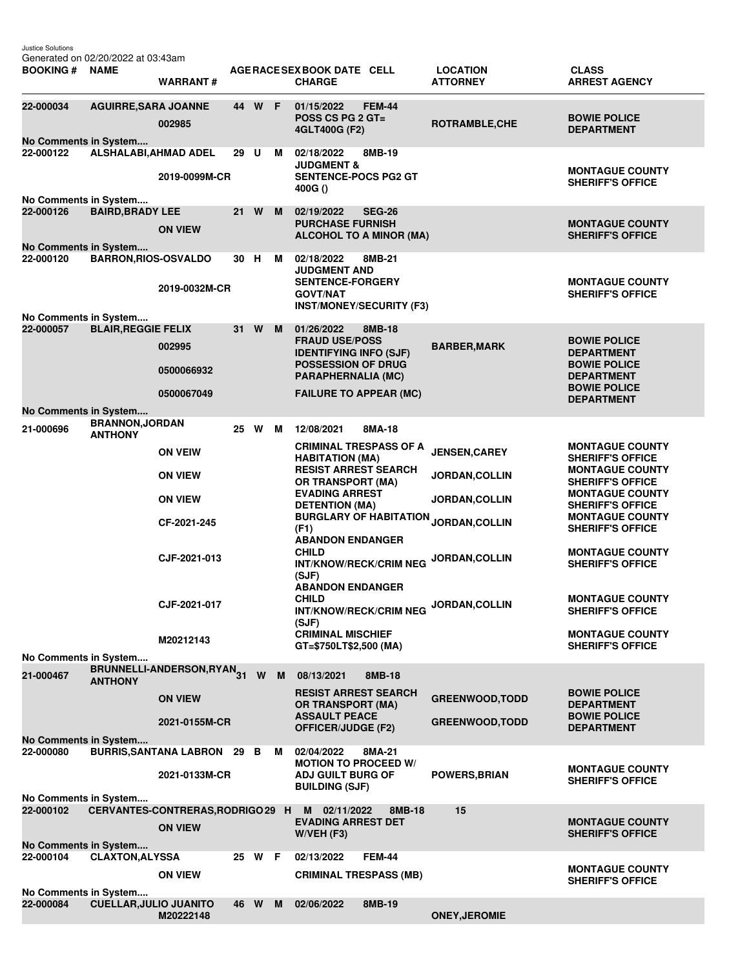Justice Solutions

| <b>BOOKING # NAME</b>              | Generated on 02/20/2022 at 03:43am       | <b>WARRANT#</b>                    |      |        |     | AGE RACE SEX BOOK DATE CELL<br><b>CHARGE</b>                                                        | <b>LOCATION</b><br><b>ATTORNEY</b>      | <b>CLASS</b><br><b>ARREST AGENCY</b>                                        |
|------------------------------------|------------------------------------------|------------------------------------|------|--------|-----|-----------------------------------------------------------------------------------------------------|-----------------------------------------|-----------------------------------------------------------------------------|
|                                    |                                          |                                    |      |        |     |                                                                                                     |                                         |                                                                             |
| 22-000034                          | <b>AGUIRRE, SARA JOANNE</b>              | 002985                             |      | 44 W F |     | 01/15/2022<br><b>FEM-44</b><br><b>POSS CS PG 2 GT=</b><br>4GLT400G (F2)                             | ROTRAMBLE, CHE                          | <b>BOWIE POLICE</b><br><b>DEPARTMENT</b>                                    |
| No Comments in System<br>22-000122 | ALSHALABI, AHMAD ADEL                    |                                    | 29 U |        | M   | 02/18/2022<br>8MB-19                                                                                |                                         |                                                                             |
| No Comments in System              |                                          | 2019-0099M-CR                      |      |        |     | <b>JUDGMENT &amp;</b><br><b>SENTENCE-POCS PG2 GT</b><br>400G()                                      |                                         | <b>MONTAGUE COUNTY</b><br><b>SHERIFF'S OFFICE</b>                           |
| 22-000126                          | <b>BAIRD, BRADY LEE</b>                  |                                    | 21   | W      | M   | 02/19/2022<br><b>SEG-26</b>                                                                         |                                         |                                                                             |
|                                    |                                          | <b>ON VIEW</b>                     |      |        |     | <b>PURCHASE FURNISH</b><br><b>ALCOHOL TO A MINOR (MA)</b>                                           |                                         | <b>MONTAGUE COUNTY</b><br><b>SHERIFF'S OFFICE</b>                           |
| No Comments in System<br>22-000120 | <b>BARRON, RIOS-OSVALDO</b>              |                                    | 30 H |        | м   | 02/18/2022<br>8MB-21                                                                                |                                         |                                                                             |
|                                    |                                          |                                    |      |        |     | <b>JUDGMENT AND</b>                                                                                 |                                         |                                                                             |
|                                    |                                          | 2019-0032M-CR                      |      |        |     | <b>SENTENCE-FORGERY</b><br><b>GOVT/NAT</b><br><b>INST/MONEY/SECURITY (F3)</b>                       |                                         | <b>MONTAGUE COUNTY</b><br><b>SHERIFF'S OFFICE</b>                           |
| No Comments in System<br>22-000057 | <b>BLAIR, REGGIE FELIX</b>               |                                    | 31 W |        | M   | 01/26/2022<br>8MB-18                                                                                |                                         |                                                                             |
|                                    |                                          | 002995                             |      |        |     | <b>FRAUD USE/POSS</b><br><b>IDENTIFYING INFO (SJF)</b>                                              | <b>BARBER, MARK</b>                     | <b>BOWIE POLICE</b><br><b>DEPARTMENT</b>                                    |
|                                    |                                          | 0500066932                         |      |        |     | <b>POSSESSION OF DRUG</b><br>PARAPHERNALIA (MC)                                                     |                                         | <b>BOWIE POLICE</b><br><b>DEPARTMENT</b>                                    |
|                                    |                                          | 0500067049                         |      |        |     | <b>FAILURE TO APPEAR (MC)</b>                                                                       |                                         | <b>BOWIE POLICE</b><br><b>DEPARTMENT</b>                                    |
| No Comments in System              |                                          |                                    |      |        |     |                                                                                                     |                                         |                                                                             |
| 21-000696                          | <b>BRANNON, JORDAN</b><br><b>ANTHONY</b> |                                    |      | 25 W M |     | 12/08/2021<br>8MA-18                                                                                |                                         |                                                                             |
|                                    |                                          | <b>ON VEIW</b>                     |      |        |     | <b>CRIMINAL TRESPASS OF A</b><br><b>HABITATION (MA)</b><br><b>RESIST ARREST SEARCH</b>              | <b>JENSEN, CAREY</b>                    | <b>MONTAGUE COUNTY</b><br><b>SHERIFF'S OFFICE</b><br><b>MONTAGUE COUNTY</b> |
|                                    |                                          | <b>ON VIEW</b>                     |      |        |     | <b>OR TRANSPORT (MA)</b><br><b>EVADING ARREST</b>                                                   | <b>JORDAN, COLLIN</b>                   | <b>SHERIFF'S OFFICE</b><br><b>MONTAGUE COUNTY</b>                           |
|                                    |                                          | <b>ON VIEW</b><br>CF-2021-245      |      |        |     | <b>DETENTION (MA)</b><br><b>BURGLARY OF HABITATION</b>                                              | <b>JORDAN, COLLIN</b><br>JORDAN, COLLIN | <b>SHERIFF'S OFFICE</b><br><b>MONTAGUE COUNTY</b>                           |
|                                    |                                          |                                    |      |        |     | (F1)<br><b>ABANDON ENDANGER</b>                                                                     |                                         | <b>SHERIFF'S OFFICE</b>                                                     |
|                                    |                                          | CJF-2021-013                       |      |        |     | <b>CHILD</b><br><b>INT/KNOW/RECK/CRIM NEG</b><br>(SJF)                                              | JORDAN, COLLIN                          | <b>MONTAGUE COUNTY</b><br><b>SHERIFF'S OFFICE</b>                           |
|                                    |                                          | CJF-2021-017                       |      |        |     | <b>ABANDON ENDANGER</b><br><b>CHILD</b><br><b>INT/KNOW/RECK/CRIM NEG</b>                            | JORDAN, COLLIN                          | <b>MONTAGUE COUNTY</b><br><b>SHERIFF'S OFFICE</b>                           |
|                                    |                                          | M20212143                          |      |        |     | (SJF)<br><b>CRIMINAL MISCHIEF</b><br>GT=\$750LT\$2,500 (MA)                                         |                                         | <b>MONTAGUE COUNTY</b><br><b>SHERIFF'S OFFICE</b>                           |
| No Comments in System              |                                          |                                    |      |        |     |                                                                                                     |                                         |                                                                             |
| 21-000467                          | <b>ANTHONY</b>                           | BRUNNELLI-ANDERSON, RYAN31         |      |        | W M | 08/13/2021<br>8MB-18                                                                                |                                         |                                                                             |
|                                    |                                          | <b>ON VIEW</b>                     |      |        |     | <b>RESIST ARREST SEARCH</b><br><b>OR TRANSPORT (MA)</b><br><b>ASSAULT PEACE</b>                     | <b>GREENWOOD, TODD</b>                  | <b>BOWIE POLICE</b><br><b>DEPARTMENT</b><br><b>BOWIE POLICE</b>             |
|                                    |                                          | 2021-0155M-CR                      |      |        |     | OFFICER/JUDGE (F2)                                                                                  | <b>GREENWOOD, TODD</b>                  | <b>DEPARTMENT</b>                                                           |
| No Comments in System<br>22-000080 |                                          | <b>BURRIS, SANTANA LABRON 29 B</b> |      |        | M   | 02/04/2022<br>8MA-21                                                                                |                                         |                                                                             |
|                                    |                                          | 2021-0133M-CR                      |      |        |     | <b>MOTION TO PROCEED W/</b><br><b>ADJ GUILT BURG OF</b><br><b>BUILDING (SJF)</b>                    | <b>POWERS, BRIAN</b>                    | <b>MONTAGUE COUNTY</b><br><b>SHERIFF'S OFFICE</b>                           |
| No Comments in System              |                                          |                                    |      |        |     |                                                                                                     |                                         |                                                                             |
| 22-000102                          |                                          | <b>ON VIEW</b>                     |      |        |     | CERVANTES-CONTRERAS, RODRIGO 29 H M 02/11/2022<br>8MB-18<br><b>EVADING ARREST DET</b><br>W/VEH (F3) | 15                                      | <b>MONTAGUE COUNTY</b><br><b>SHERIFF'S OFFICE</b>                           |
| No Comments in System              |                                          |                                    |      |        |     |                                                                                                     |                                         |                                                                             |
| 22-000104                          | <b>CLAXTON, ALYSSA</b>                   | <b>ON VIEW</b>                     |      | 25 W F |     | <b>FEM-44</b><br>02/13/2022<br><b>CRIMINAL TRESPASS (MB)</b>                                        |                                         | <b>MONTAGUE COUNTY</b><br><b>SHERIFF'S OFFICE</b>                           |
| No Comments in System              |                                          |                                    |      |        |     |                                                                                                     |                                         |                                                                             |
| 22-000084                          | <b>CUELLAR, JULIO JUANITO</b>            | M20222148                          |      | 46 W M |     | 02/06/2022<br>8MB-19                                                                                | <b>ONEY, JEROMIE</b>                    |                                                                             |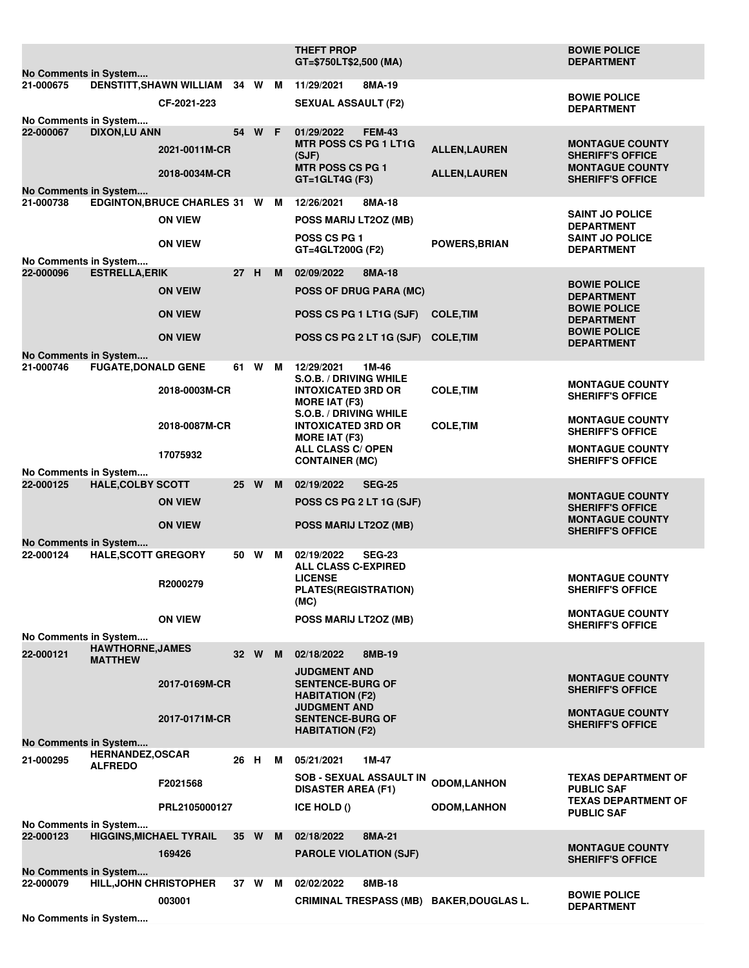|                                                                                                           |                                          |                                               |                 |          |   | <b>THEFT PROP</b><br>GT=\$750LT\$2,500 (MA)                                 |                      | <b>BOWIE POLICE</b><br><b>DEPARTMENT</b>          |
|-----------------------------------------------------------------------------------------------------------|------------------------------------------|-----------------------------------------------|-----------------|----------|---|-----------------------------------------------------------------------------|----------------------|---------------------------------------------------|
| No Comments in System                                                                                     |                                          |                                               |                 |          |   |                                                                             |                      |                                                   |
| 21-000675                                                                                                 |                                          | DENSTITT, SHAWN WILLIAM 34 W M<br>CF-2021-223 |                 |          |   | 11/29/2021<br>8MA-19<br><b>SEXUAL ASSAULT (F2)</b>                          |                      | <b>BOWIE POLICE</b><br><b>DEPARTMENT</b>          |
| No Comments in System                                                                                     |                                          |                                               |                 |          |   |                                                                             |                      |                                                   |
| 22-000067                                                                                                 | <b>DIXON,LU ANN</b>                      | 2021-0011M-CR                                 |                 | 54 W F   |   | 01/29/2022<br><b>FEM-43</b><br>MTR POSS CS PG 1 LT1G<br>(SJF)               | <b>ALLEN, LAUREN</b> | <b>MONTAGUE COUNTY</b><br><b>SHERIFF'S OFFICE</b> |
| No Comments in System                                                                                     |                                          | 2018-0034M-CR                                 |                 |          |   | <b>MTR POSS CS PG 1</b><br>GT=1GLT4G (F3)                                   | <b>ALLEN, LAUREN</b> | <b>MONTAGUE COUNTY</b><br><b>SHERIFF'S OFFICE</b> |
| 21-000738                                                                                                 |                                          | EDGINTON, BRUCE CHARLES 31 W M                |                 |          |   | 8MA-18<br>12/26/2021                                                        |                      |                                                   |
|                                                                                                           |                                          | <b>ON VIEW</b>                                |                 |          |   | POSS MARIJ LT2OZ (MB)                                                       |                      | <b>SAINT JO POLICE</b><br><b>DEPARTMENT</b>       |
|                                                                                                           |                                          | <b>ON VIEW</b>                                |                 |          |   | <b>POSS CS PG 1</b><br>GT=4GLT200G (F2)                                     | <b>POWERS, BRIAN</b> | <b>SAINT JO POLICE</b><br><b>DEPARTMENT</b>       |
| No Comments in System                                                                                     |                                          |                                               |                 |          |   |                                                                             |                      |                                                   |
| 22-000096                                                                                                 | <b>ESTRELLA, ERIK</b>                    | <b>ON VEIW</b>                                | 27 H            |          | M | 02/09/2022<br>8MA-18<br><b>POSS OF DRUG PARA (MC)</b>                       |                      | <b>BOWIE POLICE</b><br><b>DEPARTMENT</b>          |
|                                                                                                           |                                          | <b>ON VIEW</b>                                |                 |          |   | POSS CS PG 1 LT1G (SJF)                                                     | <b>COLE, TIM</b>     | <b>BOWIE POLICE</b><br><b>DEPARTMENT</b>          |
|                                                                                                           |                                          | <b>ON VIEW</b>                                |                 |          |   | POSS CS PG 2 LT 1G (SJF)                                                    | <b>COLE, TIM</b>     | <b>BOWIE POLICE</b><br><b>DEPARTMENT</b>          |
| No Comments in System                                                                                     |                                          |                                               |                 |          |   |                                                                             |                      |                                                   |
| 21-000746                                                                                                 | <b>FUGATE, DONALD GENE</b>               |                                               |                 | 61 W     | M | 12/29/2021<br>1M-46<br>S.O.B. / DRIVING WHILE                               |                      |                                                   |
|                                                                                                           |                                          | 2018-0003M-CR                                 |                 |          |   | <b>INTOXICATED 3RD OR</b><br><b>MORE IAT (F3)</b>                           | <b>COLE, TIM</b>     | <b>MONTAGUE COUNTY</b><br><b>SHERIFF'S OFFICE</b> |
|                                                                                                           |                                          | 2018-0087M-CR                                 |                 |          |   | S.O.B. / DRIVING WHILE<br><b>INTOXICATED 3RD OR</b><br><b>MORE IAT (F3)</b> | <b>COLE, TIM</b>     | <b>MONTAGUE COUNTY</b><br><b>SHERIFF'S OFFICE</b> |
|                                                                                                           |                                          | 17075932                                      |                 |          |   | <b>ALL CLASS C/ OPEN</b><br><b>CONTAINER (MC)</b>                           |                      | <b>MONTAGUE COUNTY</b><br><b>SHERIFF'S OFFICE</b> |
| No Comments in System                                                                                     |                                          |                                               |                 |          |   |                                                                             |                      |                                                   |
| 22-000125                                                                                                 | <b>HALE, COLBY SCOTT</b>                 |                                               | 25 <sub>2</sub> | <b>W</b> | M | 02/19/2022<br><b>SEG-25</b>                                                 |                      | <b>MONTAGUE COUNTY</b>                            |
|                                                                                                           |                                          | <b>ON VIEW</b>                                |                 |          |   | POSS CS PG 2 LT 1G (SJF)                                                    |                      | <b>SHERIFF'S OFFICE</b><br><b>MONTAGUE COUNTY</b> |
| No Comments in System                                                                                     |                                          | <b>ON VIEW</b>                                |                 |          |   | POSS MARIJ LT2OZ (MB)                                                       |                      | <b>SHERIFF'S OFFICE</b>                           |
| 22-000124                                                                                                 | <b>HALE, SCOTT GREGORY</b>               |                                               |                 | 50 W M   |   | 02/19/2022<br><b>SEG-23</b><br><b>ALL CLASS C-EXPIRED</b><br><b>LICENSE</b> |                      | <b>MONTAGUE COUNTY</b>                            |
|                                                                                                           |                                          | R2000279                                      |                 |          |   | <b>PLATES(REGISTRATION)</b><br>(MC)                                         |                      | <b>SHERIFF'S OFFICE</b>                           |
|                                                                                                           |                                          | <b>ON VIEW</b>                                |                 |          |   | POSS MARIJ LT20Z (MB)                                                       |                      | <b>MONTAGUE COUNTY</b><br><b>SHERIFF'S OFFICE</b> |
| No Comments in System                                                                                     | <b>HAWTHORNE, JAMES</b>                  |                                               |                 |          |   |                                                                             |                      |                                                   |
| 22-000121                                                                                                 | <b>MATTHEW</b>                           |                                               |                 | 32 W     | M | 02/18/2022<br>8MB-19<br><b>JUDGMENT AND</b>                                 |                      |                                                   |
|                                                                                                           |                                          | 2017-0169M-CR                                 |                 |          |   | <b>SENTENCE-BURG OF</b><br><b>HABITATION (F2)</b>                           |                      | <b>MONTAGUE COUNTY</b><br><b>SHERIFF'S OFFICE</b> |
|                                                                                                           |                                          | 2017-0171M-CR                                 |                 |          |   | <b>JUDGMENT AND</b><br><b>SENTENCE-BURG OF</b><br><b>HABITATION (F2)</b>    |                      | <b>MONTAGUE COUNTY</b><br><b>SHERIFF'S OFFICE</b> |
| No Comments in System                                                                                     |                                          |                                               |                 |          |   |                                                                             |                      |                                                   |
| 21-000295                                                                                                 | <b>HERNANDEZ,OSCAR</b><br><b>ALFREDO</b> |                                               | 26 H            |          | м | 05/21/2021<br>1M-47                                                         |                      |                                                   |
|                                                                                                           |                                          | F2021568                                      |                 |          |   | <b>SOB - SEXUAL ASSAULT IN</b><br><b>DISASTER AREA (F1)</b>                 | <b>ODOM,LANHON</b>   | <b>TEXAS DEPARTMENT OF</b><br><b>PUBLIC SAF</b>   |
|                                                                                                           |                                          | PRL2105000127                                 |                 |          |   | ICE HOLD ()                                                                 | <b>ODOM,LANHON</b>   | <b>TEXAS DEPARTMENT OF</b><br><b>PUBLIC SAF</b>   |
| No Comments in System<br>35 W<br>22-000123<br><b>HIGGINS, MICHAEL TYRAIL</b><br>02/18/2022<br>8MA-21<br>M |                                          |                                               |                 |          |   |                                                                             |                      |                                                   |
|                                                                                                           |                                          | 169426                                        |                 |          |   | <b>PAROLE VIOLATION (SJF)</b>                                               |                      | <b>MONTAGUE COUNTY</b><br><b>SHERIFF'S OFFICE</b> |
| No Comments in System                                                                                     |                                          |                                               |                 |          |   |                                                                             |                      |                                                   |
| 22-000079                                                                                                 | <b>HILL, JOHN CHRISTOPHER</b>            |                                               |                 | 37 W M   |   | 02/02/2022<br>8MB-18                                                        |                      | <b>BOWIE POLICE</b>                               |
| No Comments in System                                                                                     |                                          | 003001                                        |                 |          |   | <b>CRIMINAL TRESPASS (MB) BAKER, DOUGLAS L.</b>                             |                      | <b>DEPARTMENT</b>                                 |
|                                                                                                           |                                          |                                               |                 |          |   |                                                                             |                      |                                                   |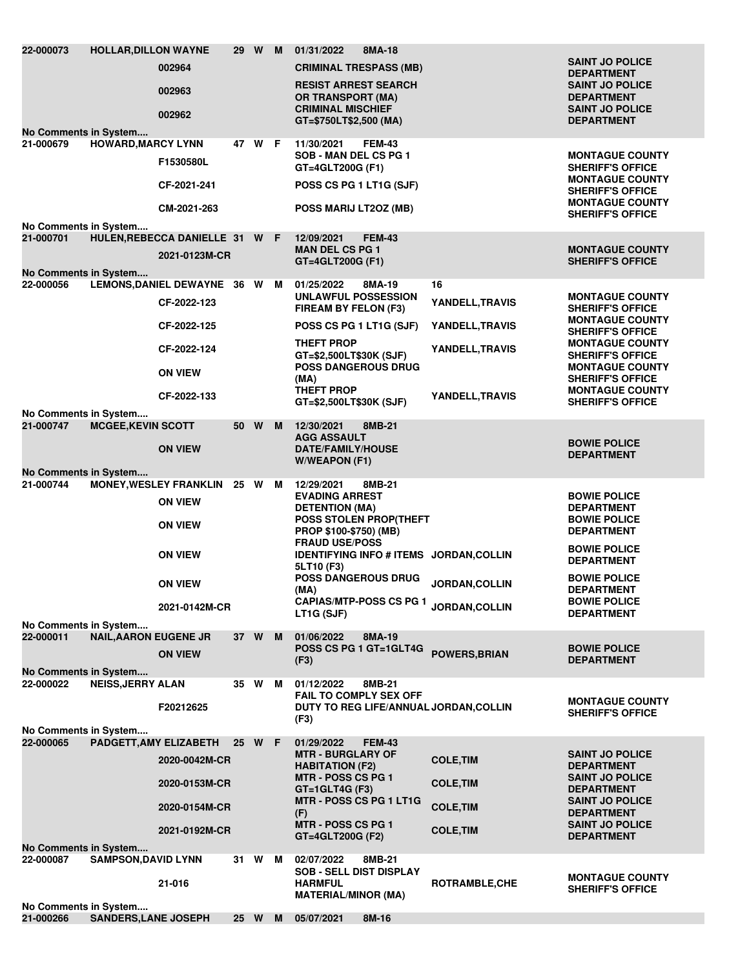| 22-000073<br>No Comments in System                          | <b>HOLLAR, DILLON WAYNE</b>  | 002964<br>002963<br>002962                                                                                           | 29 W M |   | 01/31/2022<br>8MA-18<br><b>CRIMINAL TRESPASS (MB)</b><br><b>RESIST ARREST SEARCH</b><br><b>OR TRANSPORT (MA)</b><br><b>CRIMINAL MISCHIEF</b><br>GT=\$750LT\$2,500 (MA)                                                                                                                             |                                                                                | <b>SAINT JO POLICE</b><br><b>DEPARTMENT</b><br><b>SAINT JO POLICE</b><br><b>DEPARTMENT</b><br><b>SAINT JO POLICE</b><br><b>DEPARTMENT</b>                                                                                                                             |
|-------------------------------------------------------------|------------------------------|----------------------------------------------------------------------------------------------------------------------|--------|---|----------------------------------------------------------------------------------------------------------------------------------------------------------------------------------------------------------------------------------------------------------------------------------------------------|--------------------------------------------------------------------------------|-----------------------------------------------------------------------------------------------------------------------------------------------------------------------------------------------------------------------------------------------------------------------|
| 21-000679                                                   | <b>HOWARD, MARCY LYNN</b>    | F1530580L<br>CF-2021-241<br>CM-2021-263                                                                              | 47 W F |   | 11/30/2021<br><b>FEM-43</b><br>SOB - MAN DEL CS PG 1<br>GT=4GLT200G (F1)<br>POSS CS PG 1 LT1G (SJF)<br>POSS MARIJ LT2OZ (MB)                                                                                                                                                                       |                                                                                | <b>MONTAGUE COUNTY</b><br><b>SHERIFF'S OFFICE</b><br><b>MONTAGUE COUNTY</b><br><b>SHERIFF'S OFFICE</b><br><b>MONTAGUE COUNTY</b><br><b>SHERIFF'S OFFICE</b>                                                                                                           |
| No Comments in System<br>21-000701                          |                              | HULEN, REBECCA DANIELLE 31 W F<br>2021-0123M-CR                                                                      |        |   | 12/09/2021<br><b>FEM-43</b><br><b>MAN DEL CS PG 1</b><br>GT=4GLT200G (F1)                                                                                                                                                                                                                          |                                                                                | <b>MONTAGUE COUNTY</b><br><b>SHERIFF'S OFFICE</b>                                                                                                                                                                                                                     |
| No Comments in System<br>22-000056<br>No Comments in System |                              | LEMONS, DANIEL DEWAYNE 36 W<br>CF-2022-123<br>CF-2022-125<br>CF-2022-124<br><b>ON VIEW</b><br>CF-2022-133            |        | м | 01/25/2022<br>8MA-19<br><b>UNLAWFUL POSSESSION</b><br>FIREAM BY FELON (F3)<br>POSS CS PG 1 LT1G (SJF)<br><b>THEFT PROP</b><br>GT=\$2,500LT\$30K (SJF)<br><b>POSS DANGEROUS DRUG</b><br>(MA)<br><b>THEFT PROP</b><br>GT=\$2,500LT\$30K (SJF)                                                        | 16<br>YANDELL, TRAVIS<br>YANDELL, TRAVIS<br>YANDELL, TRAVIS<br>YANDELL, TRAVIS | <b>MONTAGUE COUNTY</b><br><b>SHERIFF'S OFFICE</b><br><b>MONTAGUE COUNTY</b><br><b>SHERIFF'S OFFICE</b><br><b>MONTAGUE COUNTY</b><br><b>SHERIFF'S OFFICE</b><br><b>MONTAGUE COUNTY</b><br><b>SHERIFF'S OFFICE</b><br><b>MONTAGUE COUNTY</b><br><b>SHERIFF'S OFFICE</b> |
| 21-000747<br>No Comments in System                          | <b>MCGEE, KEVIN SCOTT</b>    | <b>ON VIEW</b>                                                                                                       | 50 W   | M | 12/30/2021<br>8MB-21<br><b>AGG ASSAULT</b><br><b>DATE/FAMILY/HOUSE</b><br><b>W/WEAPON (F1)</b>                                                                                                                                                                                                     |                                                                                | <b>BOWIE POLICE</b><br><b>DEPARTMENT</b>                                                                                                                                                                                                                              |
| 21-000744                                                   |                              | MONEY, WESLEY FRANKLIN 25 W<br><b>ON VIEW</b><br><b>ON VIEW</b><br><b>ON VIEW</b><br><b>ON VIEW</b><br>2021-0142M-CR |        | M | 12/29/2021<br>8MB-21<br><b>EVADING ARREST</b><br><b>DETENTION (MA)</b><br>POSS STOLEN PROP(THEFT<br>PROP \$100-\$750) (MB)<br><b>FRAUD USE/POSS</b><br>IDENTIFYING INFO # ITEMS JORDAN, COLLIN<br>5LT10 (F3)<br><b>POSS DANGEROUS DRUG</b><br>(MA)<br><b>CAPIAS/MTP-POSS CS PG 1</b><br>LT1G (SJF) | JORDAN, COLLIN<br>JORDAN, COLLIN                                               | <b>BOWIE POLICE</b><br><b>DEPARTMENT</b><br><b>BOWIE POLICE</b><br><b>DEPARTMENT</b><br><b>BOWIE POLICE</b><br><b>DEPARTMENT</b><br><b>BOWIE POLICE</b><br><b>DEPARTMENT</b><br><b>BOWIE POLICE</b><br><b>DEPARTMENT</b>                                              |
| No Comments in System<br>22-000011                          | <b>NAIL, AARON EUGENE JR</b> |                                                                                                                      | 37 W   | M | 01/06/2022<br>8MA-19                                                                                                                                                                                                                                                                               |                                                                                |                                                                                                                                                                                                                                                                       |
| No Comments in System                                       |                              | <b>ON VIEW</b>                                                                                                       |        |   | POSS CS PG 1 GT=1GLT4G<br>(F3)                                                                                                                                                                                                                                                                     | <b>POWERS, BRIAN</b>                                                           | <b>BOWIE POLICE</b><br><b>DEPARTMENT</b>                                                                                                                                                                                                                              |
| 22-000022                                                   | <b>NEISS, JERRY ALAN</b>     | F20212625                                                                                                            | 35 W   | м | 01/12/2022<br>8MB-21<br><b>FAIL TO COMPLY SEX OFF</b><br>DUTY TO REG LIFE/ANNUAL JORDAN, COLLIN<br>(F3)                                                                                                                                                                                            |                                                                                | <b>MONTAGUE COUNTY</b><br><b>SHERIFF'S OFFICE</b>                                                                                                                                                                                                                     |
| No Comments in System<br>22-000065                          | PADGETT, AMY ELIZABETH       |                                                                                                                      | 25 W F |   | 01/29/2022<br><b>FEM-43</b>                                                                                                                                                                                                                                                                        |                                                                                |                                                                                                                                                                                                                                                                       |
|                                                             |                              | 2020-0042M-CR<br>2020-0153M-CR<br>2020-0154M-CR<br>2021-0192M-CR                                                     |        |   | <b>MTR - BURGLARY OF</b><br><b>HABITATION (F2)</b><br>MTR - POSS CS PG 1<br>$GT = 1$ GLT4G (F3)<br>MTR - POSS CS PG 1 LT1G<br>(F)<br><b>MTR - POSS CS PG 1</b><br>GT=4GLT200G (F2)                                                                                                                 | <b>COLE, TIM</b><br><b>COLE, TIM</b><br><b>COLE, TIM</b><br><b>COLE, TIM</b>   | <b>SAINT JO POLICE</b><br><b>DEPARTMENT</b><br><b>SAINT JO POLICE</b><br><b>DEPARTMENT</b><br><b>SAINT JO POLICE</b><br><b>DEPARTMENT</b><br><b>SAINT JO POLICE</b><br><b>DEPARTMENT</b>                                                                              |
| No Comments in System<br>22-000087                          | <b>SAMPSON, DAVID LYNN</b>   | 21-016                                                                                                               | 31 W   | м | 02/07/2022<br>8MB-21<br><b>SOB - SELL DIST DISPLAY</b><br><b>HARMFUL</b><br><b>MATERIAL/MINOR (MA)</b>                                                                                                                                                                                             | ROTRAMBLE, CHE                                                                 | <b>MONTAGUE COUNTY</b><br><b>SHERIFF'S OFFICE</b>                                                                                                                                                                                                                     |
| No Comments in System<br>21-000266                          | <b>SANDERS, LANE JOSEPH</b>  |                                                                                                                      | 25 W   | M | 05/07/2021<br>8M-16                                                                                                                                                                                                                                                                                |                                                                                |                                                                                                                                                                                                                                                                       |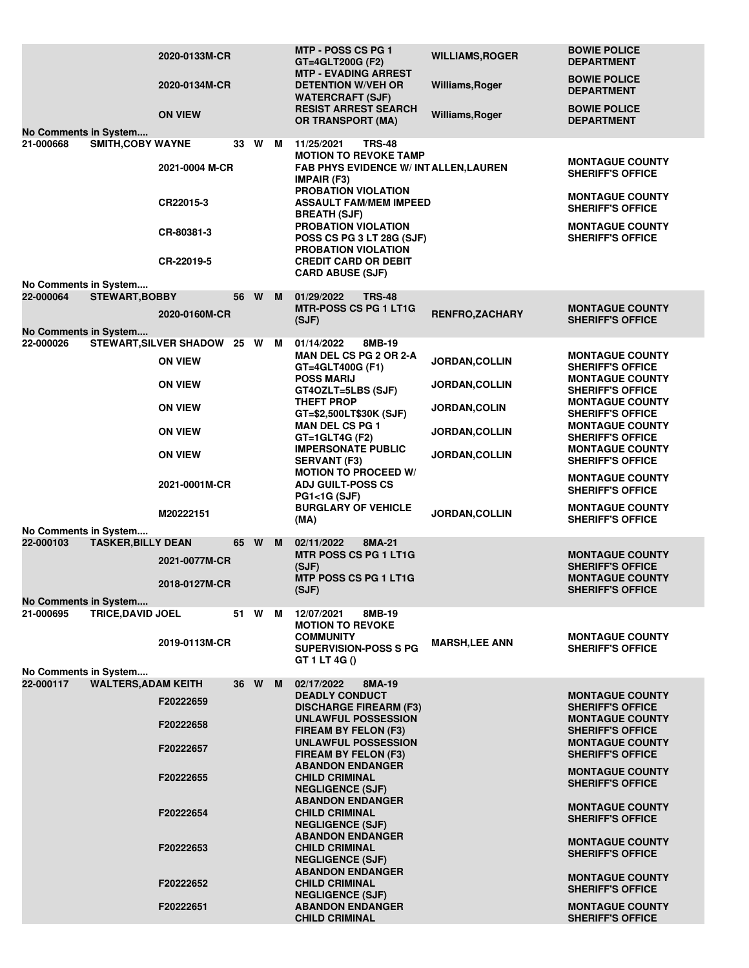| No Comments in System                                              | 2020-0133M-CR<br>2020-0134M-CR<br><b>ON VIEW</b>                                                                                                      |                      |      |   | MTP - POSS CS PG 1<br>GT=4GLT200G (F2)<br><b>MTP - EVADING ARREST</b><br><b>DETENTION W/VEH OR</b><br><b>WATERCRAFT (SJF)</b><br><b>RESIST ARREST SEARCH</b><br><b>OR TRANSPORT (MA)</b>                                                                                                                                                                                                                                                                                                                                                                            | <b>WILLIAMS, ROGER</b><br><b>Williams, Roger</b><br>Williams, Roger                                                                       | <b>BOWIE POLICE</b><br><b>DEPARTMENT</b><br><b>BOWIE POLICE</b><br><b>DEPARTMENT</b><br><b>BOWIE POLICE</b><br><b>DEPARTMENT</b>                                                                                                                                                                                                                                                                                                     |
|--------------------------------------------------------------------|-------------------------------------------------------------------------------------------------------------------------------------------------------|----------------------|------|---|---------------------------------------------------------------------------------------------------------------------------------------------------------------------------------------------------------------------------------------------------------------------------------------------------------------------------------------------------------------------------------------------------------------------------------------------------------------------------------------------------------------------------------------------------------------------|-------------------------------------------------------------------------------------------------------------------------------------------|--------------------------------------------------------------------------------------------------------------------------------------------------------------------------------------------------------------------------------------------------------------------------------------------------------------------------------------------------------------------------------------------------------------------------------------|
| 21-000668<br>No Comments in System                                 | <b>SMITH, COBY WAYNE</b><br>CR22015-3<br>CR-80381-3<br>CR-22019-5                                                                                     | 33<br>2021-0004 M-CR | W M  |   | 11/25/2021<br><b>TRS-48</b><br><b>MOTION TO REVOKE TAMP</b><br><b>FAB PHYS EVIDENCE W/ INTALLEN, LAUREN</b><br><b>IMPAIR (F3)</b><br>PROBATION VIOLATION<br><b>ASSAULT FAM/MEM IMPEED</b><br><b>BREATH (SJF)</b><br>PROBATION VIOLATION<br>POSS CS PG 3 LT 28G (SJF)<br><b>PROBATION VIOLATION</b><br><b>CREDIT CARD OR DEBIT</b><br><b>CARD ABUSE (SJF)</b>                                                                                                                                                                                                        |                                                                                                                                           | <b>MONTAGUE COUNTY</b><br><b>SHERIFF'S OFFICE</b><br><b>MONTAGUE COUNTY</b><br><b>SHERIFF'S OFFICE</b><br><b>MONTAGUE COUNTY</b><br><b>SHERIFF'S OFFICE</b>                                                                                                                                                                                                                                                                          |
| 22-000064                                                          | <b>STEWART, BOBBY</b><br>2020-0160M-CR                                                                                                                | 56                   | W    | M | 01/29/2022<br><b>TRS-48</b><br><b>MTR-POSS CS PG 1 LT1G</b><br>(SJF)                                                                                                                                                                                                                                                                                                                                                                                                                                                                                                | <b>RENFRO,ZACHARY</b>                                                                                                                     | <b>MONTAGUE COUNTY</b><br><b>SHERIFF'S OFFICE</b>                                                                                                                                                                                                                                                                                                                                                                                    |
| No Comments in System<br>22-000026                                 | <b>STEWART, SILVER SHADOW</b><br><b>ON VIEW</b><br><b>ON VIEW</b><br><b>ON VIEW</b><br><b>ON VIEW</b><br><b>ON VIEW</b><br>2021-0001M-CR<br>M20222151 | $25\,$               | W    | м | 01/14/2022<br>8MB-19<br><b>MAN DEL CS PG 2 OR 2-A</b><br>GT=4GLT400G (F1)<br><b>POSS MARIJ</b><br>GT4OZLT=5LBS (SJF)<br><b>THEFT PROP</b><br>GT=\$2,500LT\$30K (SJF)<br><b>MAN DEL CS PG 1</b><br>GT=1GLT4G (F2)<br><b>IMPERSONATE PUBLIC</b><br><b>SERVANT (F3)</b><br><b>MOTION TO PROCEED W/</b><br><b>ADJ GUILT-POSS CS</b><br><b>PG1&lt;1G (SJF)</b><br><b>BURGLARY OF VEHICLE</b><br>(MA)                                                                                                                                                                     | <b>JORDAN, COLLIN</b><br><b>JORDAN, COLLIN</b><br><b>JORDAN,COLIN</b><br><b>JORDAN, COLLIN</b><br><b>JORDAN, COLLIN</b><br>JORDAN, COLLIN | <b>MONTAGUE COUNTY</b><br><b>SHERIFF'S OFFICE</b><br><b>MONTAGUE COUNTY</b><br><b>SHERIFF'S OFFICE</b><br><b>MONTAGUE COUNTY</b><br><b>SHERIFF'S OFFICE</b><br><b>MONTAGUE COUNTY</b><br><b>SHERIFF'S OFFICE</b><br><b>MONTAGUE COUNTY</b><br><b>SHERIFF'S OFFICE</b><br><b>MONTAGUE COUNTY</b><br><b>SHERIFF'S OFFICE</b><br><b>MONTAGUE COUNTY</b><br><b>SHERIFF'S OFFICE</b>                                                      |
| No Comments in System<br>22-000103                                 | <b>TASKER, BILLY DEAN</b><br>2021-0077M-CR<br>2018-0127M-CR                                                                                           | 65 W                 |      | M | 02/11/2022<br>8MA-21<br><b>MTR POSS CS PG 1 LT1G</b><br>(SJF)<br>MTP POSS CS PG 1 LT1G<br>(SJF)                                                                                                                                                                                                                                                                                                                                                                                                                                                                     |                                                                                                                                           | <b>MONTAGUE COUNTY</b><br><b>SHERIFF'S OFFICE</b><br><b>MONTAGUE COUNTY</b><br><b>SHERIFF'S OFFICE</b>                                                                                                                                                                                                                                                                                                                               |
| <b>No Comments in System</b><br>21-000695<br>No Comments in System | <b>TRICE, DAVID JOEL</b><br>2019-0113M-CR                                                                                                             |                      | 51 W | M | 8MB-19<br>12/07/2021<br><b>MOTION TO REVOKE</b><br><b>COMMUNITY</b><br><b>SUPERVISION-POSS S PG</b><br>GT 1 LT 4G ()                                                                                                                                                                                                                                                                                                                                                                                                                                                | <b>MARSH,LEE ANN</b>                                                                                                                      | <b>MONTAGUE COUNTY</b><br><b>SHERIFF'S OFFICE</b>                                                                                                                                                                                                                                                                                                                                                                                    |
| 22-000117                                                          | <b>WALTERS, ADAM KEITH</b><br>F20222659<br>F20222658<br>F20222657<br>F20222655<br>F20222654<br>F20222653<br>F20222652<br>F20222651                    |                      | 36 W | M | 02/17/2022<br>8MA-19<br><b>DEADLY CONDUCT</b><br><b>DISCHARGE FIREARM (F3)</b><br>UNLAWFUL POSSESSION<br><b>FIREAM BY FELON (F3)</b><br>UNLAWFUL POSSESSION<br>FIREAM BY FELON (F3)<br><b>ABANDON ENDANGER</b><br><b>CHILD CRIMINAL</b><br><b>NEGLIGENCE (SJF)</b><br><b>ABANDON ENDANGER</b><br><b>CHILD CRIMINAL</b><br><b>NEGLIGENCE (SJF)</b><br><b>ABANDON ENDANGER</b><br><b>CHILD CRIMINAL</b><br><b>NEGLIGENCE (SJF)</b><br><b>ABANDON ENDANGER</b><br><b>CHILD CRIMINAL</b><br><b>NEGLIGENCE (SJF)</b><br><b>ABANDON ENDANGER</b><br><b>CHILD CRIMINAL</b> |                                                                                                                                           | <b>MONTAGUE COUNTY</b><br><b>SHERIFF'S OFFICE</b><br><b>MONTAGUE COUNTY</b><br><b>SHERIFF'S OFFICE</b><br><b>MONTAGUE COUNTY</b><br><b>SHERIFF'S OFFICE</b><br><b>MONTAGUE COUNTY</b><br><b>SHERIFF'S OFFICE</b><br><b>MONTAGUE COUNTY</b><br><b>SHERIFF'S OFFICE</b><br><b>MONTAGUE COUNTY</b><br><b>SHERIFF'S OFFICE</b><br><b>MONTAGUE COUNTY</b><br><b>SHERIFF'S OFFICE</b><br><b>MONTAGUE COUNTY</b><br><b>SHERIFF'S OFFICE</b> |